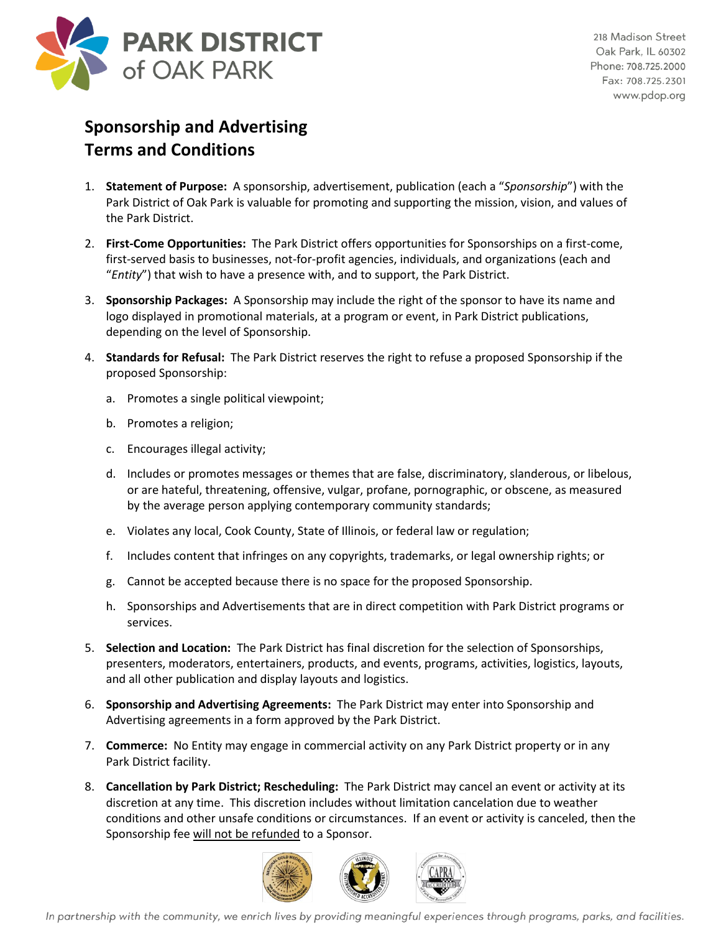

## **Sponsorship and Advertising Terms and Conditions**

- 1. **Statement of Purpose:** A sponsorship, advertisement, publication (each a "*Sponsorship*") with the Park District of Oak Park is valuable for promoting and supporting the mission, vision, and values of the Park District.
- 2. **First-Come Opportunities:** The Park District offers opportunities for Sponsorships on a first-come, first-served basis to businesses, not-for-profit agencies, individuals, and organizations (each and "*Entity*") that wish to have a presence with, and to support, the Park District.
- 3. **Sponsorship Packages:** A Sponsorship may include the right of the sponsor to have its name and logo displayed in promotional materials, at a program or event, in Park District publications, depending on the level of Sponsorship.
- 4. **Standards for Refusal:** The Park District reserves the right to refuse a proposed Sponsorship if the proposed Sponsorship:
	- a. Promotes a single political viewpoint;
	- b. Promotes a religion;
	- c. Encourages illegal activity;
	- d. Includes or promotes messages or themes that are false, discriminatory, slanderous, or libelous, or are hateful, threatening, offensive, vulgar, profane, pornographic, or obscene, as measured by the average person applying contemporary community standards;
	- e. Violates any local, Cook County, State of Illinois, or federal law or regulation;
	- f. Includes content that infringes on any copyrights, trademarks, or legal ownership rights; or
	- g. Cannot be accepted because there is no space for the proposed Sponsorship.
	- h. Sponsorships and Advertisements that are in direct competition with Park District programs or services.
- 5. **Selection and Location:** The Park District has final discretion for the selection of Sponsorships, presenters, moderators, entertainers, products, and events, programs, activities, logistics, layouts, and all other publication and display layouts and logistics.
- 6. **Sponsorship and Advertising Agreements:** The Park District may enter into Sponsorship and Advertising agreements in a form approved by the Park District.
- 7. **Commerce:** No Entity may engage in commercial activity on any Park District property or in any Park District facility.
- 8. **Cancellation by Park District; Rescheduling:** The Park District may cancel an event or activity at its discretion at any time. This discretion includes without limitation cancelation due to weather conditions and other unsafe conditions or circumstances. If an event or activity is canceled, then the Sponsorship fee will not be refunded to a Sponsor.



In partnership with the community, we enrich lives by providing meaningful experiences through programs, parks, and facilities.